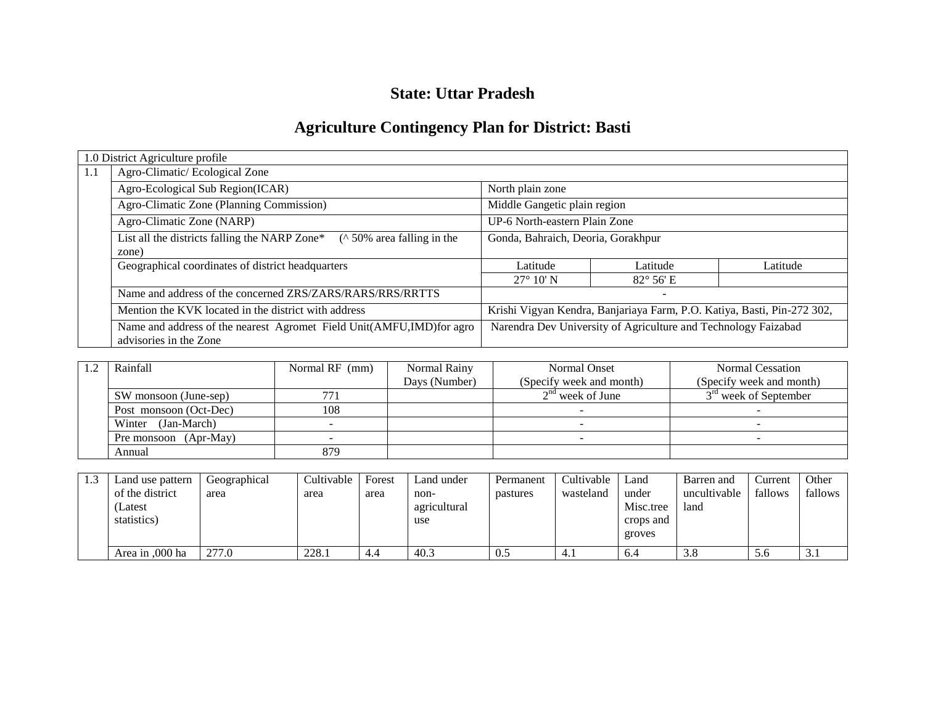## **State: Uttar Pradesh**

# **Agriculture Contingency Plan for District: Basti**

|     | 1.0 District Agriculture profile                                                                 |                                                                         |                          |          |  |
|-----|--------------------------------------------------------------------------------------------------|-------------------------------------------------------------------------|--------------------------|----------|--|
| 1.1 | Agro-Climatic/Ecological Zone                                                                    |                                                                         |                          |          |  |
|     | Agro-Ecological Sub Region(ICAR)                                                                 | North plain zone                                                        |                          |          |  |
|     | Agro-Climatic Zone (Planning Commission)                                                         | Middle Gangetic plain region                                            |                          |          |  |
|     | Agro-Climatic Zone (NARP)                                                                        | UP-6 North-eastern Plain Zone                                           |                          |          |  |
|     | List all the districts falling the NARP Zone*<br>$($ \landom 50% area falling in the<br>zone)    | Gonda, Bahraich, Deoria, Gorakhpur                                      |                          |          |  |
|     | Geographical coordinates of district headquarters                                                | Latitude                                                                | Latitude                 | Latitude |  |
|     |                                                                                                  | $27^{\circ}$ 10' N                                                      | $82^{\circ} 56'$ E       |          |  |
|     | Name and address of the concerned ZRS/ZARS/RARS/RRS/RRTTS                                        |                                                                         | $\overline{\phantom{0}}$ |          |  |
|     | Mention the KVK located in the district with address                                             | Krishi Vigyan Kendra, Banjariaya Farm, P.O. Katiya, Basti, Pin-272 302, |                          |          |  |
|     | Name and address of the nearest Agromet Field Unit(AMFU, IMD) for agro<br>advisories in the Zone | Narendra Dev University of Agriculture and Technology Faizabad          |                          |          |  |

| Rainfall               | Normal RF (mm) | Normal Rainy  | Normal Onset             | Normal Cessation                  |
|------------------------|----------------|---------------|--------------------------|-----------------------------------|
|                        |                | Days (Number) | (Specify week and month) | (Specify week and month)          |
| SW monsoon (June-sep)  | 771            |               | $2nd$ week of June       | 3 <sup>rd</sup> week of September |
| Post monsoon (Oct-Dec) | 108            |               |                          |                                   |
| Winter (Jan-March)     |                |               |                          |                                   |
| Pre monsoon (Apr-May)  |                |               |                          |                                   |
| Annual                 | 879            |               |                          |                                   |

| Land use pattern | Geographical | Cultivable | Forest | Land under   | Permanent | Cultivable | Land      | Barren and   | Current | Other   |
|------------------|--------------|------------|--------|--------------|-----------|------------|-----------|--------------|---------|---------|
| of the district  | area         | area       | area   | non-         | pastures  | wasteland  | under     | uncultivable | fallows | fallows |
| (Latest          |              |            |        | agricultural |           |            | Misc.tree | land         |         |         |
| statistics)      |              |            |        | use          |           |            | crops and |              |         |         |
|                  |              |            |        |              |           |            | groves    |              |         |         |
| Area in ,000 ha  | 277.0        | 228.1      | 4.4    | 40.3         | 0.5       |            | 6.4       | 3.8          | 5.6     | 3.1     |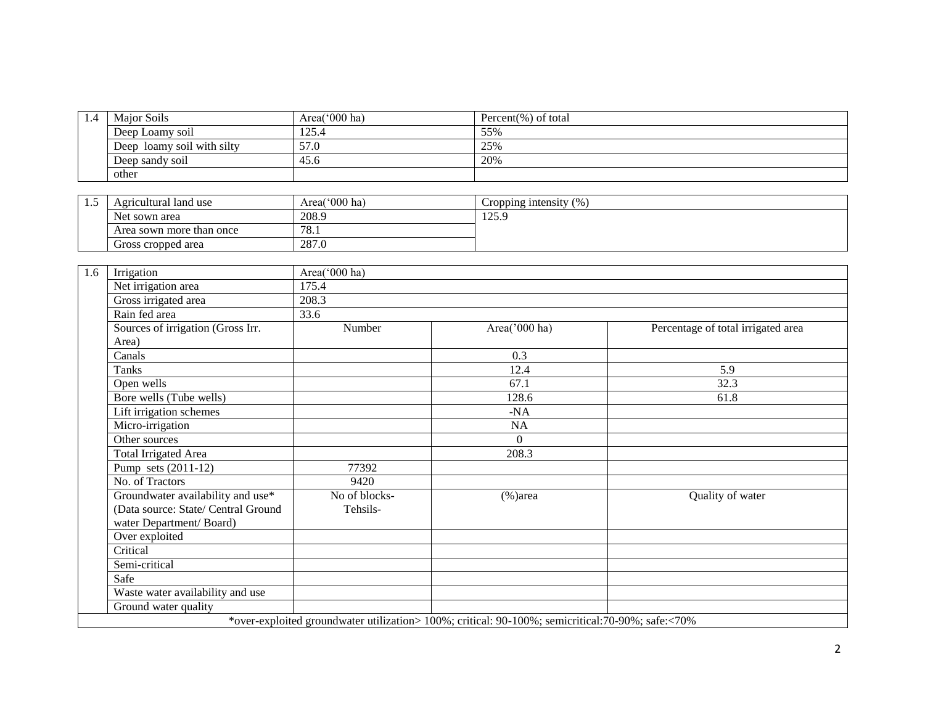| $1.4^{\circ}$ | Major Soils                   | Area( $000$ ha) | Percent(%) of total |
|---------------|-------------------------------|-----------------|---------------------|
|               | Deep Loamy soil               | 125.4           | 55%                 |
|               | loamy soil with silty<br>Deep | 57.0            | 25%                 |
|               | Deep sandy soil               | 45.6            | 20%                 |
|               | other                         |                 |                     |

| ن د ک | Agricultural land use    | Area('000 ha) | Cropping intensity (%) |
|-------|--------------------------|---------------|------------------------|
|       | Net sown area            | 208.9         | 175 Q<br>12J.J         |
|       | Area sown more than once | 78.1          |                        |
|       | Gross cropped area       | 287.0         |                        |

| 1.6 | Irrigation                          | Area('000 ha) |                                                                                                   |                                    |  |  |  |  |  |  |
|-----|-------------------------------------|---------------|---------------------------------------------------------------------------------------------------|------------------------------------|--|--|--|--|--|--|
|     | Net irrigation area                 | 175.4         |                                                                                                   |                                    |  |  |  |  |  |  |
|     | Gross irrigated area                | 208.3         |                                                                                                   |                                    |  |  |  |  |  |  |
|     | Rain fed area                       | 33.6          |                                                                                                   |                                    |  |  |  |  |  |  |
|     | Sources of irrigation (Gross Irr.   | Number        | Area('000 ha)                                                                                     | Percentage of total irrigated area |  |  |  |  |  |  |
|     | Area)                               |               |                                                                                                   |                                    |  |  |  |  |  |  |
|     | Canals                              |               | 0.3                                                                                               |                                    |  |  |  |  |  |  |
|     | Tanks                               |               | 12.4                                                                                              | 5.9                                |  |  |  |  |  |  |
|     | Open wells                          |               | 67.1                                                                                              | 32.3                               |  |  |  |  |  |  |
|     | Bore wells (Tube wells)             |               | 128.6                                                                                             | 61.8                               |  |  |  |  |  |  |
|     | Lift irrigation schemes             |               | $-NA$                                                                                             |                                    |  |  |  |  |  |  |
|     | Micro-irrigation                    |               | NA                                                                                                |                                    |  |  |  |  |  |  |
|     | Other sources                       |               | $\Omega$                                                                                          |                                    |  |  |  |  |  |  |
|     | Total Irrigated Area                |               | 208.3                                                                                             |                                    |  |  |  |  |  |  |
|     | Pump sets (2011-12)                 | 77392         |                                                                                                   |                                    |  |  |  |  |  |  |
|     | No. of Tractors                     | 9420          |                                                                                                   |                                    |  |  |  |  |  |  |
|     | Groundwater availability and use*   | No of blocks- | $(\% )$ area                                                                                      | Quality of water                   |  |  |  |  |  |  |
|     | (Data source: State/ Central Ground | Tehsils-      |                                                                                                   |                                    |  |  |  |  |  |  |
|     | water Department/Board)             |               |                                                                                                   |                                    |  |  |  |  |  |  |
|     | Over exploited                      |               |                                                                                                   |                                    |  |  |  |  |  |  |
|     | Critical                            |               |                                                                                                   |                                    |  |  |  |  |  |  |
|     | Semi-critical                       |               |                                                                                                   |                                    |  |  |  |  |  |  |
|     | Safe                                |               |                                                                                                   |                                    |  |  |  |  |  |  |
|     | Waste water availability and use    |               |                                                                                                   |                                    |  |  |  |  |  |  |
|     | Ground water quality                |               |                                                                                                   |                                    |  |  |  |  |  |  |
|     |                                     |               | *over-exploited groundwater utilization> 100%; critical: 90-100%; semicritical: 70-90%; safe:<70% |                                    |  |  |  |  |  |  |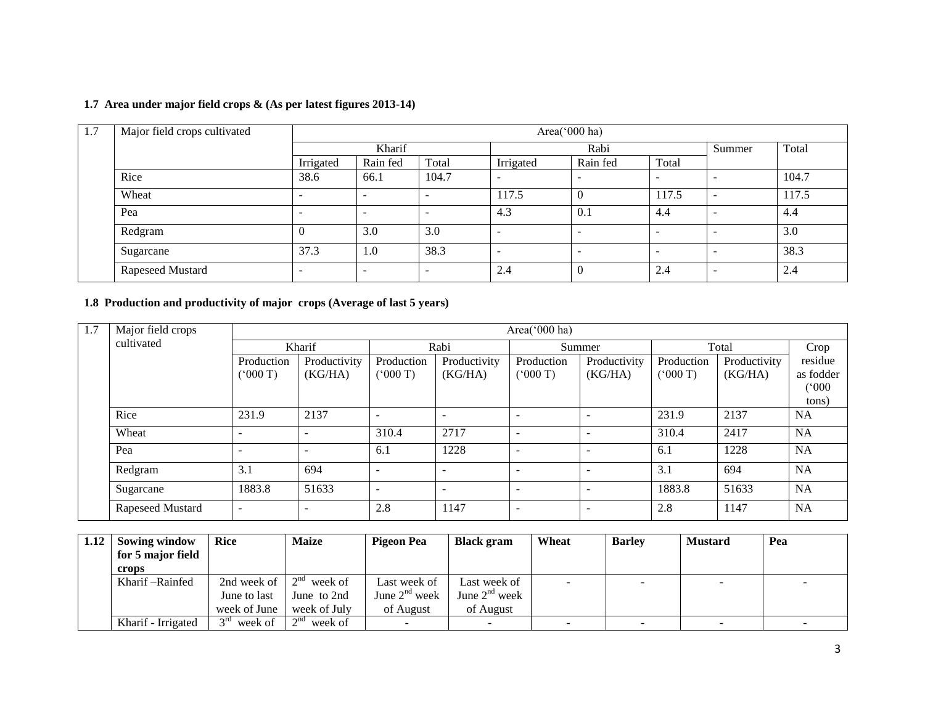#### **1.7 Area under major field crops & (As per latest figures 2013-14)**

| 1.7 | Major field crops cultivated |                          |                          |                          |           |                          |                          |                          |       |
|-----|------------------------------|--------------------------|--------------------------|--------------------------|-----------|--------------------------|--------------------------|--------------------------|-------|
|     |                              |                          | Kharif                   |                          | Rabi      |                          |                          | Summer                   | Total |
|     |                              | Irrigated                | Rain fed                 | Total                    | Irrigated | Rain fed                 | Total                    |                          |       |
|     | Rice                         | 38.6                     | 66.1                     | 104.7                    | -         | $\overline{\phantom{0}}$ | -                        |                          | 104.7 |
|     | Wheat                        | $\overline{\phantom{0}}$ | -                        | $\overline{\phantom{a}}$ | 117.5     | $\Omega$                 | 117.5                    | -                        | 117.5 |
|     | Pea                          | $\overline{\phantom{0}}$ | $\overline{\phantom{a}}$ | <b>.</b>                 | 4.3       | 0.1                      | -4.4                     |                          | 4.4   |
|     | Redgram                      |                          | 3.0                      | 3.0                      | -         | $\overline{\phantom{0}}$ | $\overline{\phantom{0}}$ | $\overline{\phantom{0}}$ | 3.0   |
|     | Sugarcane                    | 37.3                     | 1.0                      | 38.3                     | -         | $\overline{\phantom{0}}$ | $\sim$                   | $\sim$                   | 38.3  |
|     | Rapeseed Mustard             | ۰                        | $\overline{\phantom{0}}$ | $\overline{\phantom{0}}$ | 2.4       | $\Omega$                 | 2.4                      | $\overline{\phantom{a}}$ | 2.4   |

#### **1.8 Production and productivity of major crops (Average of last 5 years)**

| 1.7<br>Major field crops<br>Area(' $000$ ha) |                  |                          |              |            |                          |                          |                          |            |              |           |  |  |
|----------------------------------------------|------------------|--------------------------|--------------|------------|--------------------------|--------------------------|--------------------------|------------|--------------|-----------|--|--|
|                                              | cultivated       |                          | Kharif       |            | Rabi                     |                          | Summer                   |            | Total        |           |  |  |
|                                              |                  | Production               | Productivity | Production | Productivity             | Production               | Productivity             | Production | Productivity | residue   |  |  |
|                                              |                  | (5000T)                  | (KG/HA)      | (5000T)    | (KG/HA)                  | (5000T)                  | (KG/HA)                  | (000T)     | (KG/HA)      | as fodder |  |  |
|                                              |                  |                          |              |            |                          |                          |                          |            |              | (000)     |  |  |
|                                              |                  |                          |              |            |                          |                          |                          |            |              | tons)     |  |  |
|                                              | Rice             | 231.9                    | 2137         |            | $\overline{\phantom{0}}$ | $\overline{\phantom{a}}$ | $\overline{\phantom{a}}$ | 231.9      | 2137         | <b>NA</b> |  |  |
|                                              | Wheat            | $\overline{\phantom{a}}$ |              | 310.4      | 2717                     | $\overline{\phantom{0}}$ |                          | 310.4      | 2417         | <b>NA</b> |  |  |
|                                              | Pea              | $\overline{\phantom{a}}$ |              | 6.1        | 1228                     | $\overline{\phantom{0}}$ |                          | 6.1        | 1228         | <b>NA</b> |  |  |
|                                              | Redgram          | 3.1                      | 694          |            | $\overline{\phantom{0}}$ | $\overline{\phantom{0}}$ |                          | 3.1        | 694          | NA        |  |  |
|                                              | Sugarcane        | 1883.8                   | 51633        |            |                          | $\overline{\phantom{0}}$ |                          | 1883.8     | 51633        | <b>NA</b> |  |  |
|                                              | Rapeseed Mustard | $\overline{\phantom{a}}$ |              | 2.8        | 1147                     | $\overline{\phantom{0}}$ | $\overline{\phantom{0}}$ | 2.8        | 1147         | <b>NA</b> |  |  |

| 1.12 | Sowing window<br>for 5 major field | <b>Rice</b>            | <b>Maize</b>         | Pigeon Pea         | <b>Black</b> gram  | Wheat                    | <b>Barley</b> | <b>Mustard</b>           | Pea |
|------|------------------------------------|------------------------|----------------------|--------------------|--------------------|--------------------------|---------------|--------------------------|-----|
|      | crops                              |                        |                      |                    |                    |                          |               |                          |     |
|      | Kharif – Rainfed                   | 2nd week of            | $2^{nd}$<br>week of  | Last week of       | Last week of       | $\overline{\phantom{a}}$ | -             | $\overline{\phantom{a}}$ |     |
|      |                                    | June to last           | June to 2nd          | June $2^{nd}$ week | June $2^{nd}$ week |                          |               |                          |     |
|      |                                    | week of June           | week of July         | of August          | of August          |                          |               |                          |     |
|      | Kharif - Irrigated                 | $\gamma$ ra<br>week of | $\sim$ nd<br>week of |                    |                    |                          |               |                          |     |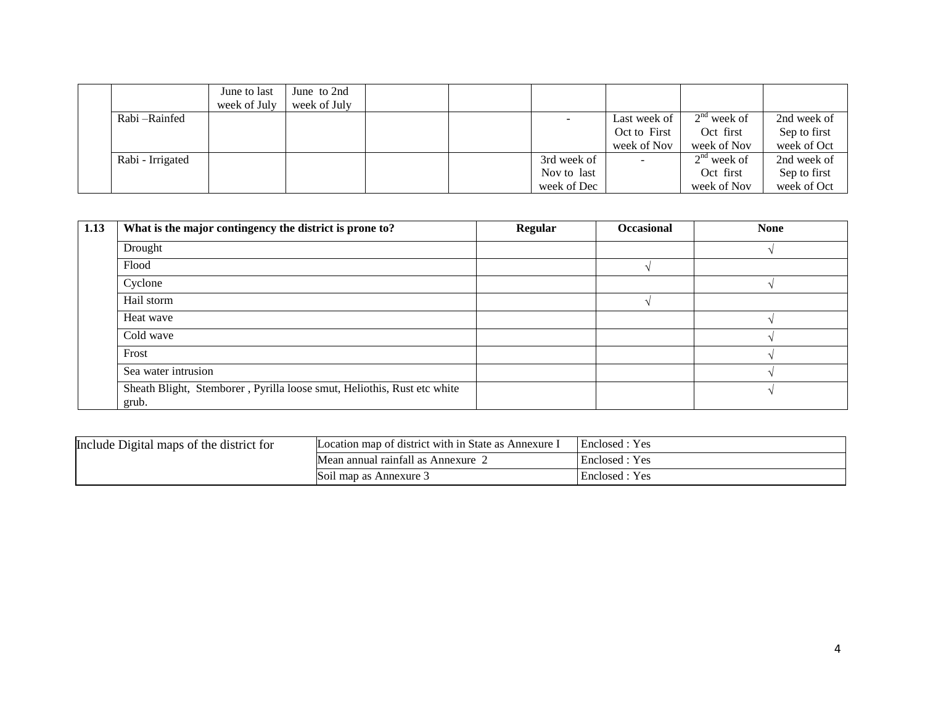|                  | June to last | June to 2nd  |  |             |              |               |              |
|------------------|--------------|--------------|--|-------------|--------------|---------------|--------------|
|                  | week of July | week of July |  |             |              |               |              |
| Rabi – Rainfed   |              |              |  |             | Last week of | $2nd$ week of | 2nd week of  |
|                  |              |              |  |             | Oct to First | Oct first     | Sep to first |
|                  |              |              |  |             | week of Nov  | week of Nov   | week of Oct  |
| Rabi - Irrigated |              |              |  | 3rd week of |              | $2nd$ week of | 2nd week of  |
|                  |              |              |  | Nov to last |              | Oct first     | Sep to first |
|                  |              |              |  | week of Dec |              | week of Nov   | week of Oct  |

| 1.13 | What is the major contingency the district is prone to?                          | Regular | <b>Occasional</b> | <b>None</b> |
|------|----------------------------------------------------------------------------------|---------|-------------------|-------------|
|      | Drought                                                                          |         |                   |             |
|      | Flood                                                                            |         |                   |             |
|      | Cyclone                                                                          |         |                   |             |
|      | Hail storm                                                                       |         |                   |             |
|      | Heat wave                                                                        |         |                   |             |
|      | Cold wave                                                                        |         |                   |             |
|      | Frost                                                                            |         |                   |             |
|      | Sea water intrusion                                                              |         |                   |             |
|      | Sheath Blight, Stemborer, Pyrilla loose smut, Heliothis, Rust etc white<br>grub. |         |                   |             |

| Include Digital maps of the district for | Location map of district with in State as Annexure I | Enclosed : Yes |
|------------------------------------------|------------------------------------------------------|----------------|
|                                          | Mean annual rainfall as Annexure                     | Enclosed : Yes |
|                                          | Soil map as Annexure 3                               | Enclosed : Yes |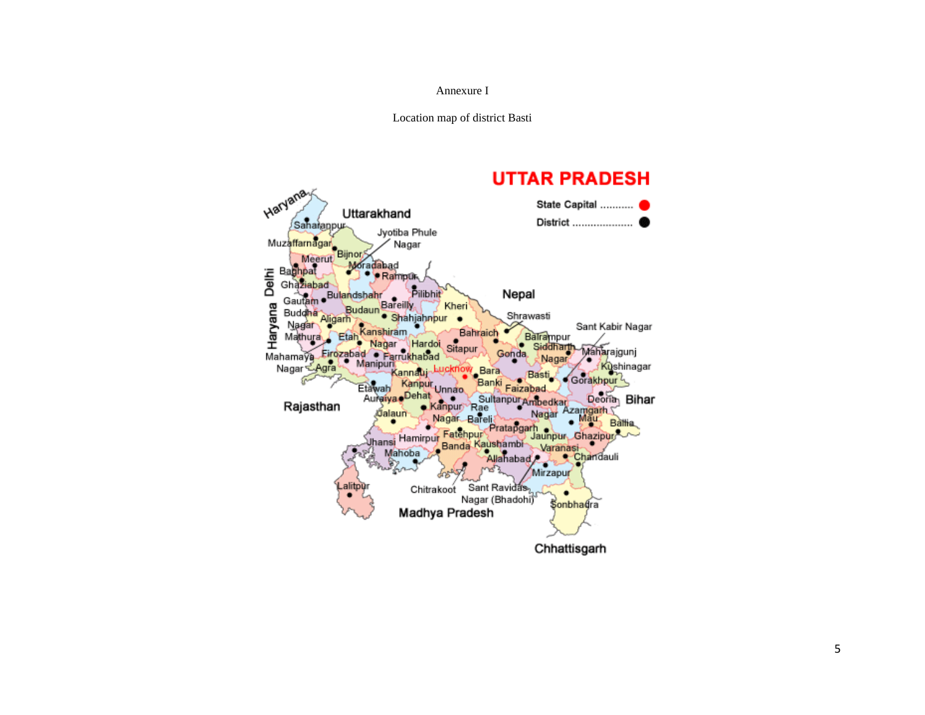#### Annexure I

Location map of district Basti

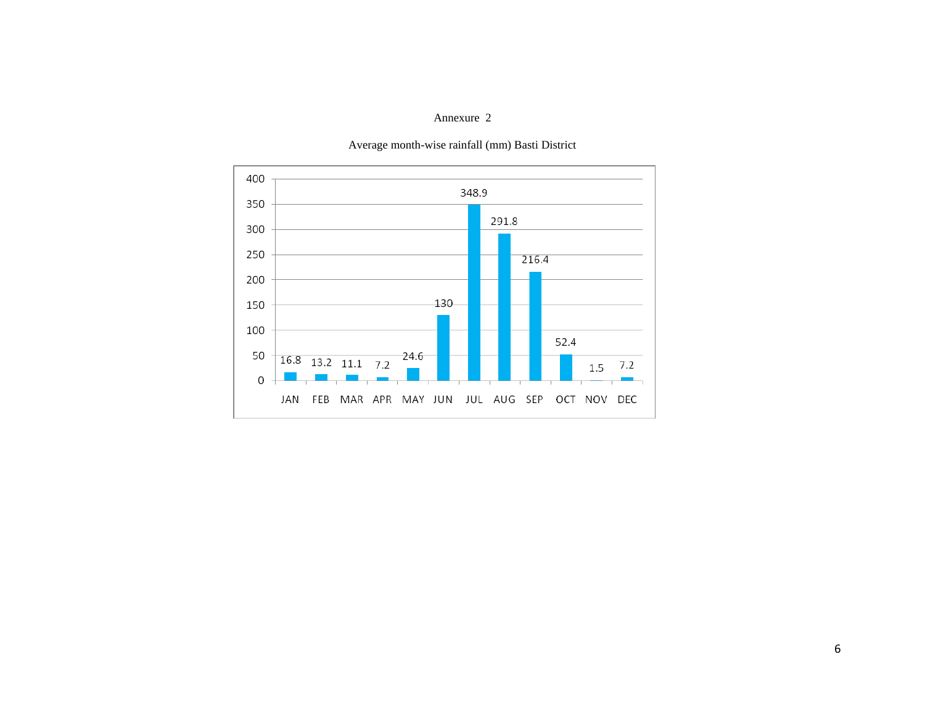#### Annexure 2



#### Average month-wise rainfall (mm) Basti District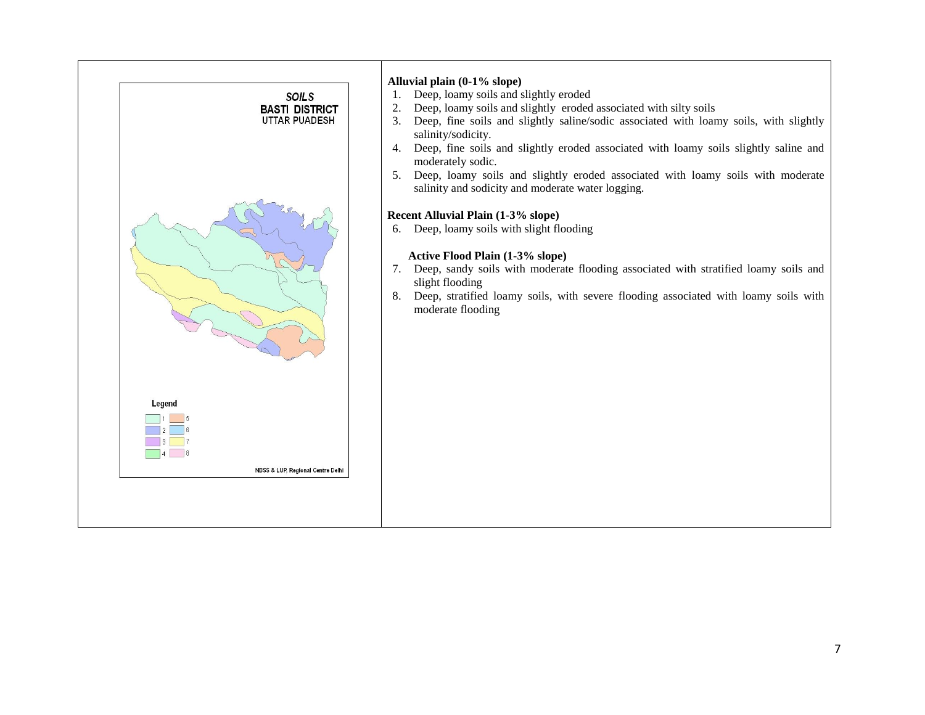|                           | <b>SOILS</b><br><b>BASTI DISTRICT</b><br>UTTAR PUADESH | Alluvial plain (0-1% slope)<br>Deep, loamy soils and slightly eroded<br>1.<br>Deep, loamy soils and slightly eroded associated with silty soils<br>2.<br>Deep, fine soils and slightly saline/sodic associated with loamy soils, with slightly<br>3.<br>salinity/sodicity.<br>Deep, fine soils and slightly eroded associated with loamy soils slightly saline and<br>4.<br>moderately sodic.<br>Deep, loamy soils and slightly eroded associated with loamy soils with moderate<br>5.<br>salinity and sodicity and moderate water logging.<br>Recent Alluvial Plain (1-3% slope) |
|---------------------------|--------------------------------------------------------|-----------------------------------------------------------------------------------------------------------------------------------------------------------------------------------------------------------------------------------------------------------------------------------------------------------------------------------------------------------------------------------------------------------------------------------------------------------------------------------------------------------------------------------------------------------------------------------|
|                           |                                                        | Deep, loamy soils with slight flooding<br>6.<br>Active Flood Plain (1-3% slope)<br>7. Deep, sandy soils with moderate flooding associated with stratified loamy soils and<br>slight flooding<br>Deep, stratified loamy soils, with severe flooding associated with loamy soils with<br>8.<br>moderate flooding                                                                                                                                                                                                                                                                    |
| Legend<br>$\vert$ 5<br> 8 | NBSS & LUP, Regional Centre Delhi                      |                                                                                                                                                                                                                                                                                                                                                                                                                                                                                                                                                                                   |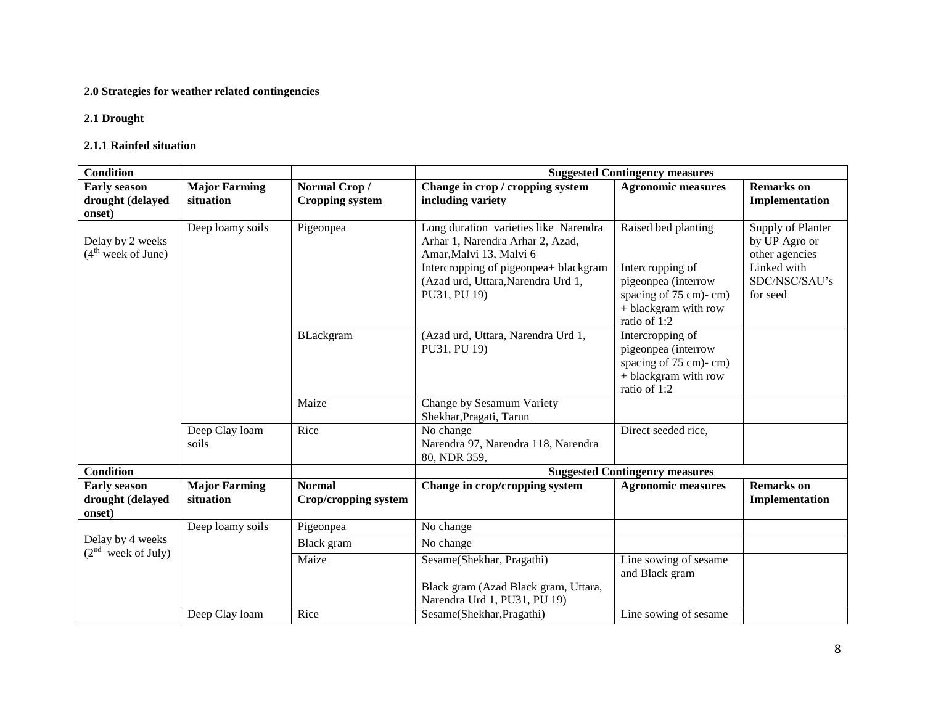### **2.0 Strategies for weather related contingencies**

#### **2.1 Drought**

#### **2.1.1 Rainfed situation**

| <b>Condition</b>                                  |                                   |                                        | <b>Suggested Contingency measures</b>                                                                                                                                                               |                                                                                                                                 |                                                                                                  |  |
|---------------------------------------------------|-----------------------------------|----------------------------------------|-----------------------------------------------------------------------------------------------------------------------------------------------------------------------------------------------------|---------------------------------------------------------------------------------------------------------------------------------|--------------------------------------------------------------------------------------------------|--|
| <b>Early season</b><br>drought (delayed<br>onset) | <b>Major Farming</b><br>situation | Normal Crop/<br><b>Cropping system</b> | Change in crop / cropping system<br>including variety                                                                                                                                               | <b>Agronomic measures</b>                                                                                                       | <b>Remarks</b> on<br>Implementation                                                              |  |
| Delay by 2 weeks<br>$(4th$ week of June)          | Deep loamy soils                  | Pigeonpea                              | Long duration varieties like Narendra<br>Arhar 1, Narendra Arhar 2, Azad,<br>Amar, Malvi 13, Malvi 6<br>Intercropping of pigeonpea+ blackgram<br>(Azad urd, Uttara, Narendra Urd 1,<br>PU31, PU 19) | Raised bed planting<br>Intercropping of<br>pigeonpea (interrow<br>spacing of 75 cm)-cm)<br>+ blackgram with row<br>ratio of 1:2 | Supply of Planter<br>by UP Agro or<br>other agencies<br>Linked with<br>SDC/NSC/SAU's<br>for seed |  |
|                                                   |                                   | BLackgram                              | (Azad urd, Uttara, Narendra Urd 1,<br>PU31, PU 19)                                                                                                                                                  | Intercropping of<br>pigeonpea (interrow<br>spacing of 75 cm)-cm)<br>+ blackgram with row<br>ratio of 1:2                        |                                                                                                  |  |
|                                                   |                                   | Maize                                  | Change by Sesamum Variety<br>Shekhar, Pragati, Tarun                                                                                                                                                |                                                                                                                                 |                                                                                                  |  |
|                                                   | Deep Clay loam<br>soils           | Rice                                   | No change<br>Narendra 97, Narendra 118, Narendra<br>80, NDR 359,                                                                                                                                    | Direct seeded rice,                                                                                                             |                                                                                                  |  |
| <b>Condition</b>                                  |                                   |                                        |                                                                                                                                                                                                     | <b>Suggested Contingency measures</b>                                                                                           |                                                                                                  |  |
| <b>Early season</b><br>drought (delayed<br>onset) | <b>Major Farming</b><br>situation | <b>Normal</b><br>Crop/cropping system  | Change in crop/cropping system                                                                                                                                                                      | <b>Agronomic measures</b>                                                                                                       | <b>Remarks</b> on<br>Implementation                                                              |  |
|                                                   | Deep loamy soils                  | Pigeonpea                              | No change                                                                                                                                                                                           |                                                                                                                                 |                                                                                                  |  |
| Delay by 4 weeks                                  |                                   | Black gram                             | No change                                                                                                                                                                                           |                                                                                                                                 |                                                                                                  |  |
| $(2nd$ week of July)                              |                                   | Maize                                  | Sesame(Shekhar, Pragathi)<br>Black gram (Azad Black gram, Uttara,<br>Narendra Urd 1, PU31, PU 19)                                                                                                   | Line sowing of sesame<br>and Black gram                                                                                         |                                                                                                  |  |
|                                                   | Deep Clay loam                    | Rice                                   | Sesame(Shekhar, Pragathi)                                                                                                                                                                           | Line sowing of sesame                                                                                                           |                                                                                                  |  |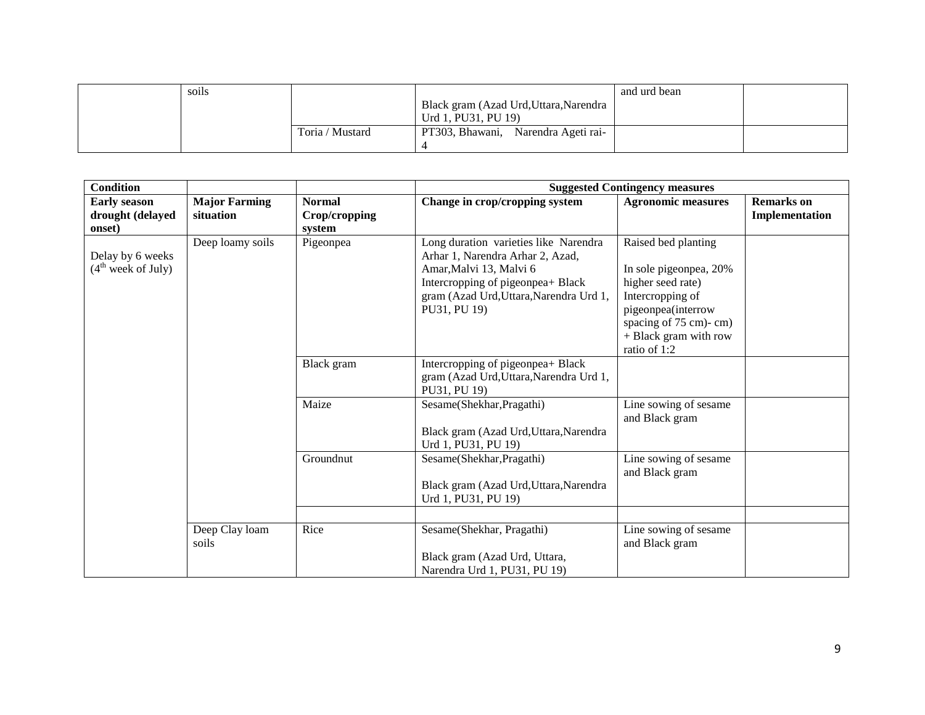| soils |                 |                                        | and urd bean |  |
|-------|-----------------|----------------------------------------|--------------|--|
|       |                 | Black gram (Azad Urd, Uttara, Narendra |              |  |
|       |                 | Urd 1, PU31, PU 19)                    |              |  |
|       | Toria / Mustard | PT303, Bhawani, Narendra Ageti rai-    |              |  |
|       |                 |                                        |              |  |

| <b>Condition</b>                                   |                                   |                                          |                                                                                                                                                                                                      | <b>Suggested Contingency measures</b>                                                                                                                                          |                                     |
|----------------------------------------------------|-----------------------------------|------------------------------------------|------------------------------------------------------------------------------------------------------------------------------------------------------------------------------------------------------|--------------------------------------------------------------------------------------------------------------------------------------------------------------------------------|-------------------------------------|
| <b>Early season</b><br>drought (delayed<br>onset)  | <b>Major Farming</b><br>situation | <b>Normal</b><br>Crop/cropping<br>system | Change in crop/cropping system                                                                                                                                                                       | <b>Agronomic measures</b>                                                                                                                                                      | <b>Remarks</b> on<br>Implementation |
| Delay by 6 weeks<br>(4 <sup>th</sup> week of July) | Deep loamy soils                  | Pigeonpea                                | Long duration varieties like Narendra<br>Arhar 1, Narendra Arhar 2, Azad,<br>Amar, Malvi 13, Malvi 6<br>Intercropping of pigeonpea+ Black<br>gram (Azad Urd, Uttara, Narendra Urd 1,<br>PU31, PU 19) | Raised bed planting<br>In sole pigeonpea, 20%<br>higher seed rate)<br>Intercropping of<br>pigeonpea(interrow<br>spacing of 75 cm)-cm)<br>+ Black gram with row<br>ratio of 1:2 |                                     |
|                                                    |                                   | Black gram                               | Intercropping of pigeonpea+ Black<br>gram (Azad Urd, Uttara, Narendra Urd 1,<br>PU31, PU 19)                                                                                                         |                                                                                                                                                                                |                                     |
|                                                    |                                   | Maize                                    | Sesame(Shekhar, Pragathi)<br>Black gram (Azad Urd, Uttara, Narendra<br>Urd 1, PU31, PU 19)                                                                                                           | Line sowing of sesame<br>and Black gram                                                                                                                                        |                                     |
|                                                    |                                   | Groundnut                                | Sesame(Shekhar, Pragathi)<br>Black gram (Azad Urd, Uttara, Narendra<br>Urd 1, PU31, PU 19)                                                                                                           | Line sowing of sesame<br>and Black gram                                                                                                                                        |                                     |
|                                                    |                                   |                                          |                                                                                                                                                                                                      |                                                                                                                                                                                |                                     |
|                                                    | Deep Clay loam<br>soils           | Rice                                     | Sesame(Shekhar, Pragathi)<br>Black gram (Azad Urd, Uttara,<br>Narendra Urd 1, PU31, PU 19)                                                                                                           | Line sowing of sesame<br>and Black gram                                                                                                                                        |                                     |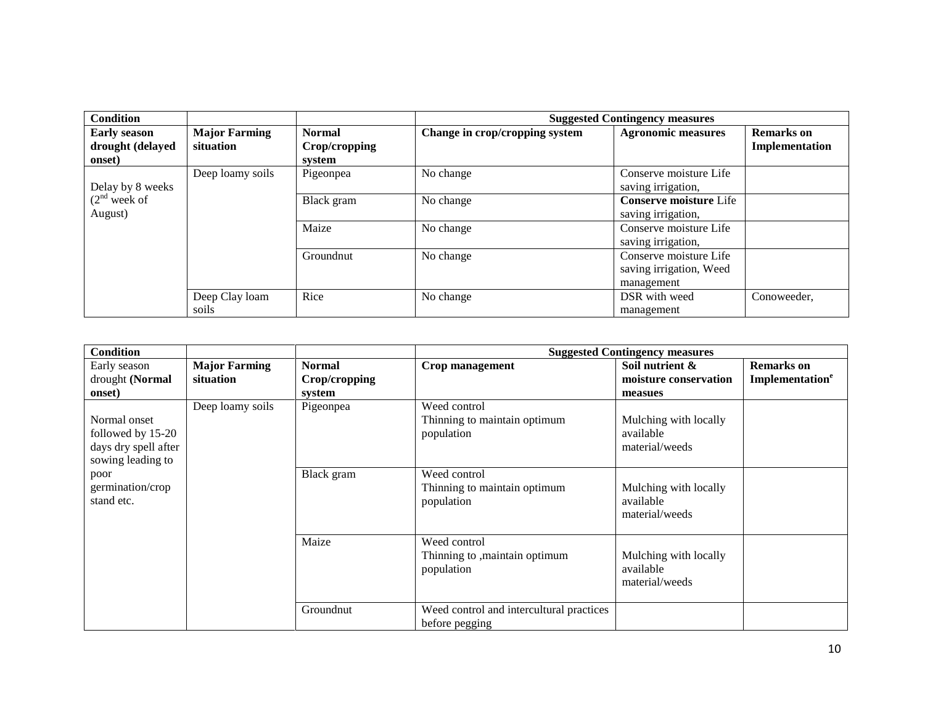| <b>Condition</b>                                  |                                   |                                          |                                | <b>Suggested Contingency measures</b>                           |                                     |
|---------------------------------------------------|-----------------------------------|------------------------------------------|--------------------------------|-----------------------------------------------------------------|-------------------------------------|
| <b>Early season</b><br>drought (delayed<br>onset) | <b>Major Farming</b><br>situation | <b>Normal</b><br>Crop/cropping<br>system | Change in crop/cropping system | <b>Agronomic measures</b>                                       | <b>Remarks</b> on<br>Implementation |
| Delay by 8 weeks                                  | Deep loamy soils                  | Pigeonpea                                | No change                      | Conserve moisture Life<br>saving irrigation,                    |                                     |
| $(2nd$ week of<br>August)                         |                                   | Black gram                               | No change                      | <b>Conserve moisture Life</b><br>saving irrigation,             |                                     |
|                                                   |                                   | Maize                                    | No change                      | Conserve moisture Life<br>saving irrigation,                    |                                     |
|                                                   |                                   | Groundnut                                | No change                      | Conserve moisture Life<br>saving irrigation, Weed<br>management |                                     |
|                                                   | Deep Clay loam<br>soils           | Rice                                     | No change                      | DSR with weed<br>management                                     | Conoweeder,                         |

| <b>Condition</b>                                                               |                                   |                                          | <b>Suggested Contingency measures</b>                        |                                                      |                                                  |  |
|--------------------------------------------------------------------------------|-----------------------------------|------------------------------------------|--------------------------------------------------------------|------------------------------------------------------|--------------------------------------------------|--|
| Early season<br>drought (Normal<br>onset)                                      | <b>Major Farming</b><br>situation | <b>Normal</b><br>Crop/cropping<br>system | Crop management                                              | Soil nutrient &<br>moisture conservation<br>measues  | <b>Remarks</b> on<br>Implementation <sup>e</sup> |  |
| Normal onset<br>followed by 15-20<br>days dry spell after<br>sowing leading to | Deep loamy soils                  | Pigeonpea                                | Weed control<br>Thinning to maintain optimum<br>population   | Mulching with locally<br>available<br>material/weeds |                                                  |  |
| poor<br>germination/crop<br>stand etc.                                         |                                   | Black gram                               | Weed control<br>Thinning to maintain optimum<br>population   | Mulching with locally<br>available<br>material/weeds |                                                  |  |
|                                                                                |                                   | Maize                                    | Weed control<br>Thinning to , maintain optimum<br>population | Mulching with locally<br>available<br>material/weeds |                                                  |  |
|                                                                                |                                   | Groundnut                                | Weed control and intercultural practices<br>before pegging   |                                                      |                                                  |  |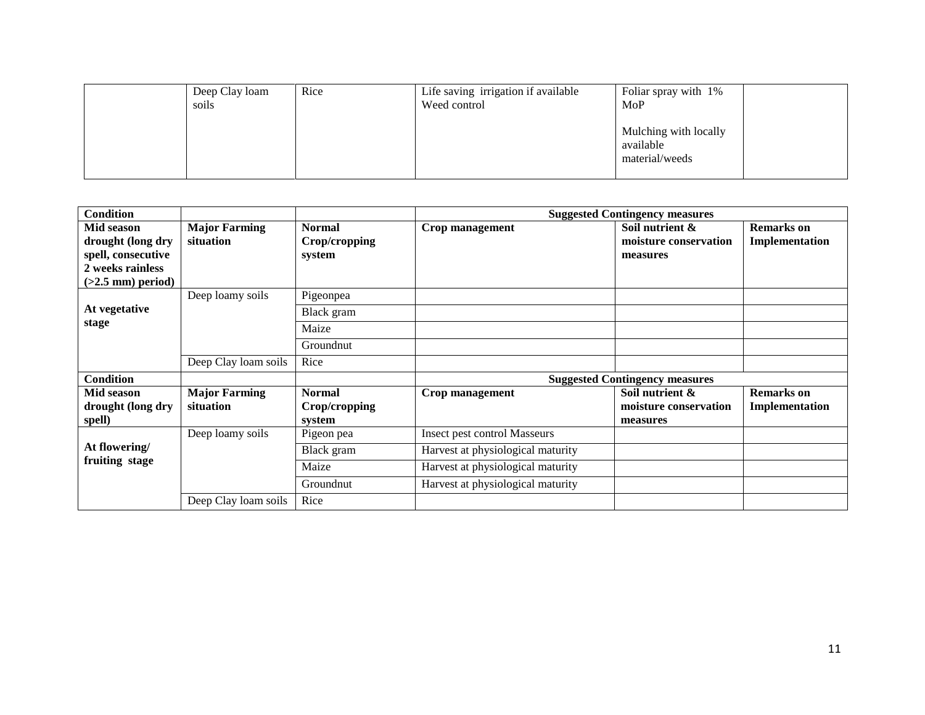| Deep Clay loam<br>soils | Rice | Life saving irrigation if available<br>Weed control | Foliar spray with 1%<br>MoP                          |
|-------------------------|------|-----------------------------------------------------|------------------------------------------------------|
|                         |      |                                                     | Mulching with locally<br>available<br>material/weeds |

| <b>Condition</b>                                                                                 |                                   |                                          |                                     | <b>Suggested Contingency measures</b>                |                                     |
|--------------------------------------------------------------------------------------------------|-----------------------------------|------------------------------------------|-------------------------------------|------------------------------------------------------|-------------------------------------|
| Mid season<br>drought (long dry<br>spell, consecutive<br>2 weeks rainless<br>$(>2.5$ mm) period) | <b>Major Farming</b><br>situation | <b>Normal</b><br>Crop/cropping<br>system | Crop management                     | Soil nutrient &<br>moisture conservation<br>measures | <b>Remarks</b> on<br>Implementation |
|                                                                                                  | Deep loamy soils                  | Pigeonpea                                |                                     |                                                      |                                     |
| At vegetative                                                                                    |                                   | Black gram                               |                                     |                                                      |                                     |
| stage                                                                                            |                                   | Maize                                    |                                     |                                                      |                                     |
|                                                                                                  |                                   | Groundnut                                |                                     |                                                      |                                     |
|                                                                                                  | Deep Clay loam soils              | Rice                                     |                                     |                                                      |                                     |
| <b>Condition</b>                                                                                 |                                   |                                          |                                     | <b>Suggested Contingency measures</b>                |                                     |
| Mid season<br>drought (long dry<br>spell)                                                        | <b>Major Farming</b><br>situation | <b>Normal</b><br>Crop/cropping<br>system | Crop management                     | Soil nutrient &<br>moisture conservation<br>measures | <b>Remarks</b> on<br>Implementation |
|                                                                                                  | Deep loamy soils                  | Pigeon pea                               | <b>Insect pest control Masseurs</b> |                                                      |                                     |
| At flowering/<br>fruiting stage                                                                  |                                   | Black gram                               | Harvest at physiological maturity   |                                                      |                                     |
|                                                                                                  |                                   | Maize                                    | Harvest at physiological maturity   |                                                      |                                     |
|                                                                                                  |                                   | Groundnut                                | Harvest at physiological maturity   |                                                      |                                     |
|                                                                                                  | Deep Clay loam soils              | Rice                                     |                                     |                                                      |                                     |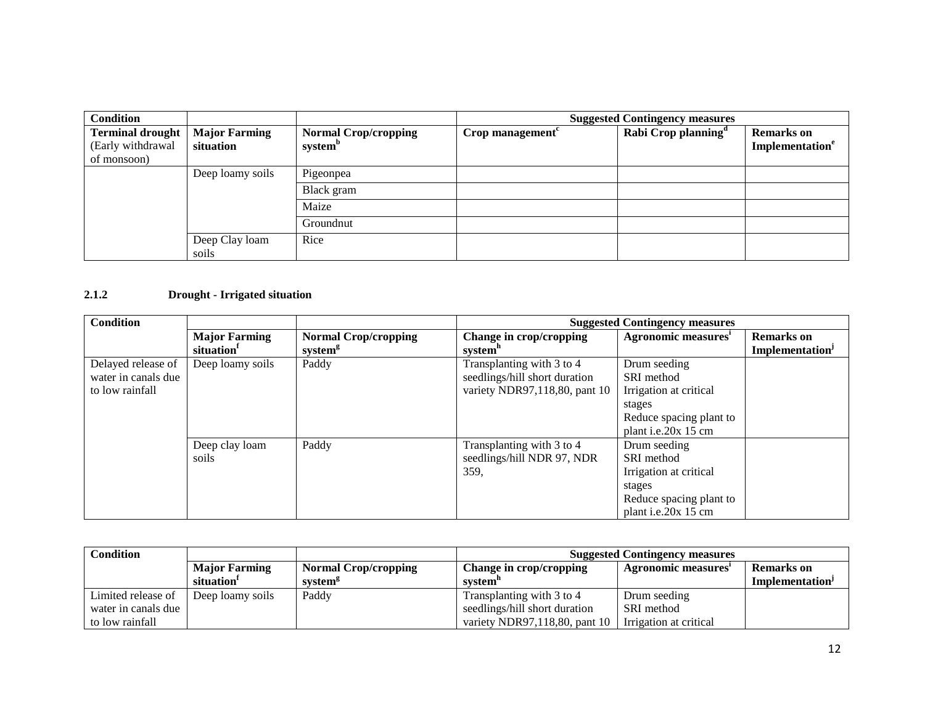| <b>Condition</b>                                            |                                   |                                                    |                     | <b>Suggested Contingency measures</b> |                                                  |
|-------------------------------------------------------------|-----------------------------------|----------------------------------------------------|---------------------|---------------------------------------|--------------------------------------------------|
| <b>Terminal drought</b><br>(Early withdrawal<br>of monsoon) | <b>Major Farming</b><br>situation | <b>Normal Crop/cropping</b><br>system <sup>b</sup> | Crop management $c$ | Rabi Crop planning <sup>d</sup>       | <b>Remarks</b> on<br>Implementation <sup>e</sup> |
|                                                             | Deep loamy soils                  | Pigeonpea                                          |                     |                                       |                                                  |
|                                                             |                                   | Black gram                                         |                     |                                       |                                                  |
|                                                             |                                   | Maize                                              |                     |                                       |                                                  |
|                                                             |                                   | Groundnut                                          |                     |                                       |                                                  |
|                                                             | Deep Clay loam<br>soils           | Rice                                               |                     |                                       |                                                  |

#### **2.1.2 Drought - Irrigated situation**

| <b>Condition</b>    |                        |                             |                               | <b>Suggested Contingency measures</b> |                             |
|---------------------|------------------------|-----------------------------|-------------------------------|---------------------------------------|-----------------------------|
|                     | <b>Major Farming</b>   | <b>Normal Crop/cropping</b> | Change in crop/cropping       | Agronomic measures'                   | <b>Remarks</b> on           |
|                     | situation <sup>1</sup> | system <sup>g</sup>         | system <sup>n</sup>           |                                       | Implementation <sup>J</sup> |
| Delayed release of  | Deep loamy soils       | Paddy                       | Transplanting with 3 to 4     | Drum seeding                          |                             |
| water in canals due |                        |                             | seedlings/hill short duration | SRI method                            |                             |
| to low rainfall     |                        |                             | variety NDR97,118,80, pant 10 | Irrigation at critical                |                             |
|                     |                        |                             |                               | stages                                |                             |
|                     |                        |                             |                               | Reduce spacing plant to               |                             |
|                     |                        |                             |                               | plant i.e.20x 15 cm                   |                             |
|                     | Deep clay loam         | Paddy                       | Transplanting with 3 to 4     | Drum seeding                          |                             |
|                     | soils                  |                             | seedlings/hill NDR 97, NDR    | SRI method                            |                             |
|                     |                        |                             | 359,                          | Irrigation at critical                |                             |
|                     |                        |                             |                               | stages                                |                             |
|                     |                        |                             |                               | Reduce spacing plant to               |                             |
|                     |                        |                             |                               | plant i.e.20x 15 cm                   |                             |

| <b>Condition</b>    |                        |                             |                               | <b>Suggested Contingency measures</b> |                             |
|---------------------|------------------------|-----------------------------|-------------------------------|---------------------------------------|-----------------------------|
|                     | <b>Major Farming</b>   | <b>Normal Crop/cropping</b> | Change in crop/cropping       | Agronomic measures                    | <b>Remarks</b> on           |
|                     | situation <sup>1</sup> | system <sup>g</sup>         | system"                       |                                       | Implementation <sup>1</sup> |
| Limited release of  | Deep loamy soils       | Paddy                       | Transplanting with 3 to 4     | Drum seeding                          |                             |
| water in canals due |                        |                             | seedlings/hill short duration | SRI method                            |                             |
| to low rainfall     |                        |                             | variety NDR97,118,80, pant 10 | Irrigation at critical                |                             |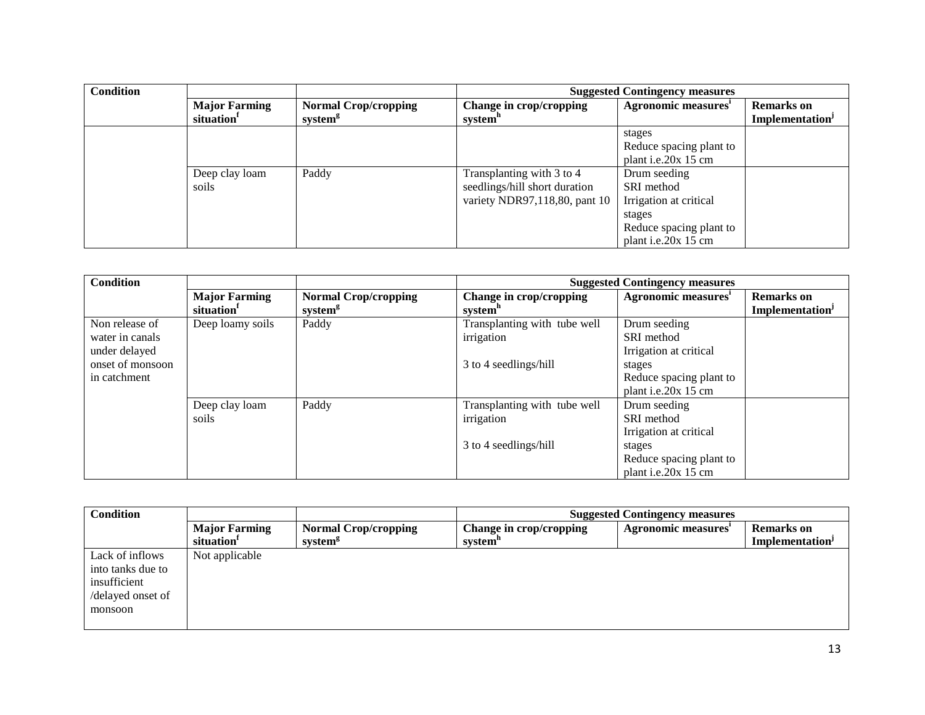| <b>Condition</b> |                        |                             |                               | <b>Suggested Contingency measures</b> |                             |
|------------------|------------------------|-----------------------------|-------------------------------|---------------------------------------|-----------------------------|
|                  | <b>Major Farming</b>   | <b>Normal Crop/cropping</b> | Change in crop/cropping       | Agronomic measures'                   | <b>Remarks</b> on           |
|                  | situation <sup>1</sup> | system <sup>g</sup>         | system"                       |                                       | Implementation <sup>J</sup> |
|                  |                        |                             |                               | stages                                |                             |
|                  |                        |                             |                               | Reduce spacing plant to               |                             |
|                  |                        |                             |                               | plant i.e.20 $x$ 15 cm                |                             |
|                  | Deep clay loam         | Paddy                       | Transplanting with 3 to 4     | Drum seeding                          |                             |
|                  | soils                  |                             | seedlings/hill short duration | SRI method                            |                             |
|                  |                        |                             | variety NDR97,118,80, pant 10 | Irrigation at critical                |                             |
|                  |                        |                             |                               | stages                                |                             |
|                  |                        |                             |                               | Reduce spacing plant to               |                             |
|                  |                        |                             |                               | plant i.e.20x 15 cm                   |                             |

| <b>Condition</b>                                  |                                                |                                                    | <b>Suggested Contingency measures</b>          |                                                                                    |                                                  |
|---------------------------------------------------|------------------------------------------------|----------------------------------------------------|------------------------------------------------|------------------------------------------------------------------------------------|--------------------------------------------------|
|                                                   | <b>Major Farming</b><br>situation <sup>1</sup> | <b>Normal Crop/cropping</b><br>system <sup>g</sup> | Change in crop/cropping<br>system <sup>n</sup> | Agronomic measures'                                                                | <b>Remarks</b> on<br>Implementation <sup>J</sup> |
| Non release of<br>water in canals                 | Deep loamy soils                               | Paddy                                              | Transplanting with tube well<br>irrigation     | Drum seeding<br>SRI method                                                         |                                                  |
| under delayed<br>onset of monsoon<br>in catchment |                                                |                                                    | 3 to 4 seedlings/hill                          | Irrigation at critical<br>stages<br>Reduce spacing plant to<br>plant i.e.20x 15 cm |                                                  |
|                                                   | Deep clay loam<br>soils                        | Paddy                                              | Transplanting with tube well<br>irrigation     | Drum seeding<br>SRI method<br>Irrigation at critical                               |                                                  |
|                                                   |                                                |                                                    | 3 to 4 seedlings/hill                          | stages<br>Reduce spacing plant to<br>plant i.e.20x 15 cm                           |                                                  |

| <b>Condition</b>  |                        |                             | <b>Suggested Contingency measures</b> |                     |                             |
|-------------------|------------------------|-----------------------------|---------------------------------------|---------------------|-----------------------------|
|                   | <b>Major Farming</b>   | <b>Normal Crop/cropping</b> | Change in crop/cropping               | Agronomic measures' | <b>Remarks</b> on           |
|                   | situation <sup>1</sup> | system <sup>g</sup>         | system <sup>"</sup>                   |                     | Implementation <sup>J</sup> |
| Lack of inflows   | Not applicable         |                             |                                       |                     |                             |
| into tanks due to |                        |                             |                                       |                     |                             |
| insufficient      |                        |                             |                                       |                     |                             |
| /delayed onset of |                        |                             |                                       |                     |                             |
| monsoon           |                        |                             |                                       |                     |                             |
|                   |                        |                             |                                       |                     |                             |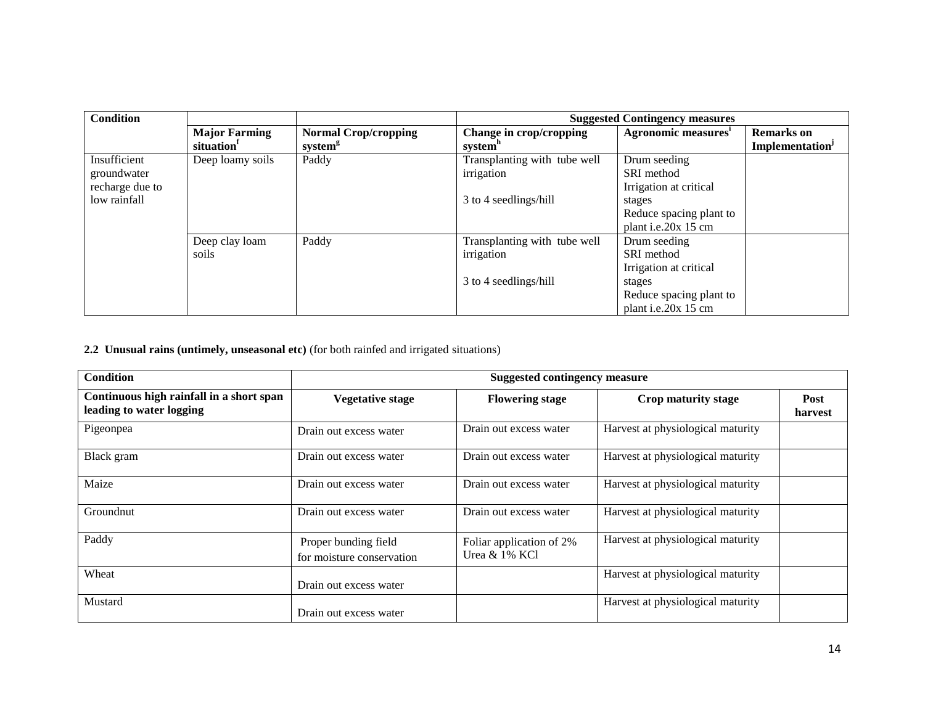| <b>Condition</b> |                        |                             | <b>Suggested Contingency measures</b> |                                 |                             |
|------------------|------------------------|-----------------------------|---------------------------------------|---------------------------------|-----------------------------|
|                  | <b>Major Farming</b>   | <b>Normal Crop/cropping</b> | Change in crop/cropping               | Agronomic measures <sup>1</sup> | <b>Remarks</b> on           |
|                  | situation <sup>1</sup> | system <sup>g</sup>         | system <sup>"</sup>                   |                                 | Implementation <sup>J</sup> |
| Insufficient     | Deep loamy soils       | Paddy                       | Transplanting with tube well          | Drum seeding                    |                             |
| groundwater      |                        |                             | irrigation                            | SRI method                      |                             |
| recharge due to  |                        |                             |                                       | Irrigation at critical          |                             |
| low rainfall     |                        |                             | 3 to 4 seedlings/hill                 | stages                          |                             |
|                  |                        |                             |                                       | Reduce spacing plant to         |                             |
|                  |                        |                             |                                       | plant i.e.20x 15 cm             |                             |
|                  | Deep clay loam         | Paddy                       | Transplanting with tube well          | Drum seeding                    |                             |
|                  | soils                  |                             | irrigation                            | SRI method                      |                             |
|                  |                        |                             |                                       | Irrigation at critical          |                             |
|                  |                        |                             | 3 to 4 seedlings/hill                 | stages                          |                             |
|                  |                        |                             |                                       | Reduce spacing plant to         |                             |
|                  |                        |                             |                                       | plant i.e.20 $x$ 15 cm          |                             |

#### **2.2 Unusual rains (untimely, unseasonal etc)** (for both rainfed and irrigated situations)

| <b>Condition</b>                                                     | <b>Suggested contingency measure</b>              |                                              |                                   |                 |  |
|----------------------------------------------------------------------|---------------------------------------------------|----------------------------------------------|-----------------------------------|-----------------|--|
| Continuous high rainfall in a short span<br>leading to water logging | <b>Vegetative stage</b>                           | <b>Flowering stage</b>                       | Crop maturity stage               | Post<br>harvest |  |
| Pigeonpea                                                            | Drain out excess water                            | Drain out excess water                       | Harvest at physiological maturity |                 |  |
| Black gram                                                           | Drain out excess water                            | Drain out excess water                       | Harvest at physiological maturity |                 |  |
| Maize                                                                | Drain out excess water                            | Drain out excess water                       | Harvest at physiological maturity |                 |  |
| Groundnut                                                            | Drain out excess water                            | Drain out excess water                       | Harvest at physiological maturity |                 |  |
| Paddy                                                                | Proper bunding field<br>for moisture conservation | Foliar application of 2%<br>Urea $& 1\%$ KCl | Harvest at physiological maturity |                 |  |
| Wheat                                                                | Drain out excess water                            |                                              | Harvest at physiological maturity |                 |  |
| Mustard                                                              | Drain out excess water                            |                                              | Harvest at physiological maturity |                 |  |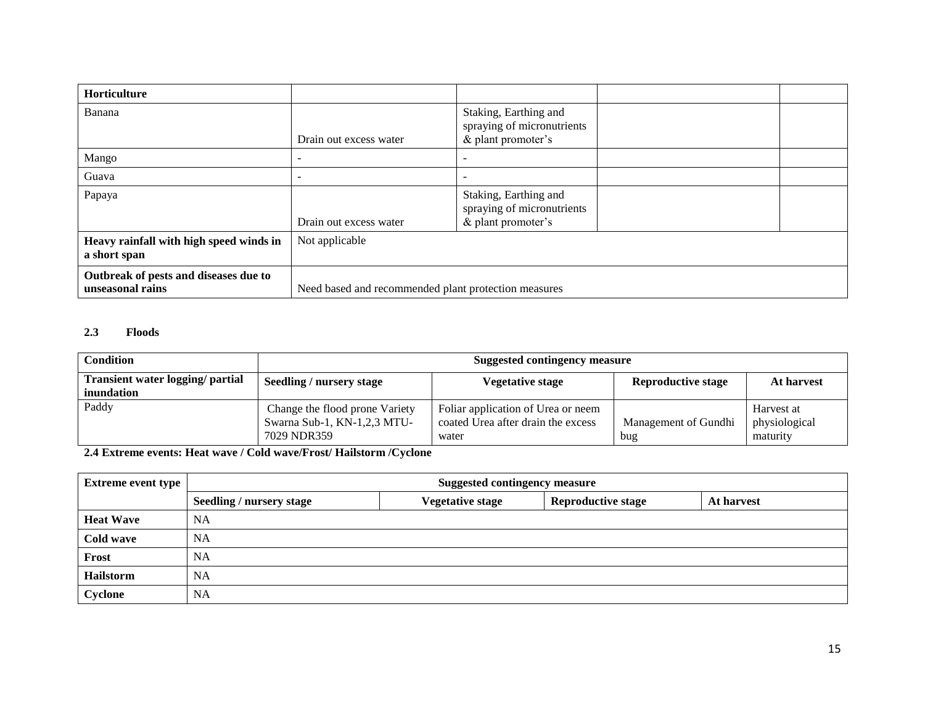| Horticulture                                              |                                                      |                                                                           |  |
|-----------------------------------------------------------|------------------------------------------------------|---------------------------------------------------------------------------|--|
| Banana                                                    | Drain out excess water                               | Staking, Earthing and<br>spraying of micronutrients<br>& plant promoter's |  |
| Mango                                                     | $\overline{\phantom{a}}$                             | $\overline{\phantom{a}}$                                                  |  |
| Guava                                                     |                                                      | $\overline{\phantom{0}}$                                                  |  |
| Papaya                                                    | Drain out excess water                               | Staking, Earthing and<br>spraying of micronutrients<br>& plant promoter's |  |
| Heavy rainfall with high speed winds in<br>a short span   | Not applicable                                       |                                                                           |  |
| Outbreak of pests and diseases due to<br>unseasonal rains | Need based and recommended plant protection measures |                                                                           |  |

#### **2.3 Floods**

| Condition                                             | Suggested contingency measure                                                |                                                                                   |                             |                                         |
|-------------------------------------------------------|------------------------------------------------------------------------------|-----------------------------------------------------------------------------------|-----------------------------|-----------------------------------------|
| Transient water logging/ partial<br><i>inundation</i> | Seedling / nursery stage                                                     | Vegetative stage                                                                  | <b>Reproductive stage</b>   | At harvest                              |
| Paddy                                                 | Change the flood prone Variety<br>Swarna Sub-1, KN-1,2,3 MTU-<br>7029 NDR359 | Foliar application of Urea or neem<br>coated Urea after drain the excess<br>water | Management of Gundhi<br>bug | Harvest at<br>physiological<br>maturity |

**2.4 Extreme events: Heat wave / Cold wave/Frost/ Hailstorm /Cyclone**

| Extreme event type | <b>Suggested contingency measure</b> |                         |                           |            |
|--------------------|--------------------------------------|-------------------------|---------------------------|------------|
|                    | Seedling / nursery stage             | <b>Vegetative stage</b> | <b>Reproductive stage</b> | At harvest |
| <b>Heat Wave</b>   | NA                                   |                         |                           |            |
| Cold wave          | <b>NA</b>                            |                         |                           |            |
| Frost              | <b>NA</b>                            |                         |                           |            |
| <b>Hailstorm</b>   | <b>NA</b>                            |                         |                           |            |
| Cyclone            | NA                                   |                         |                           |            |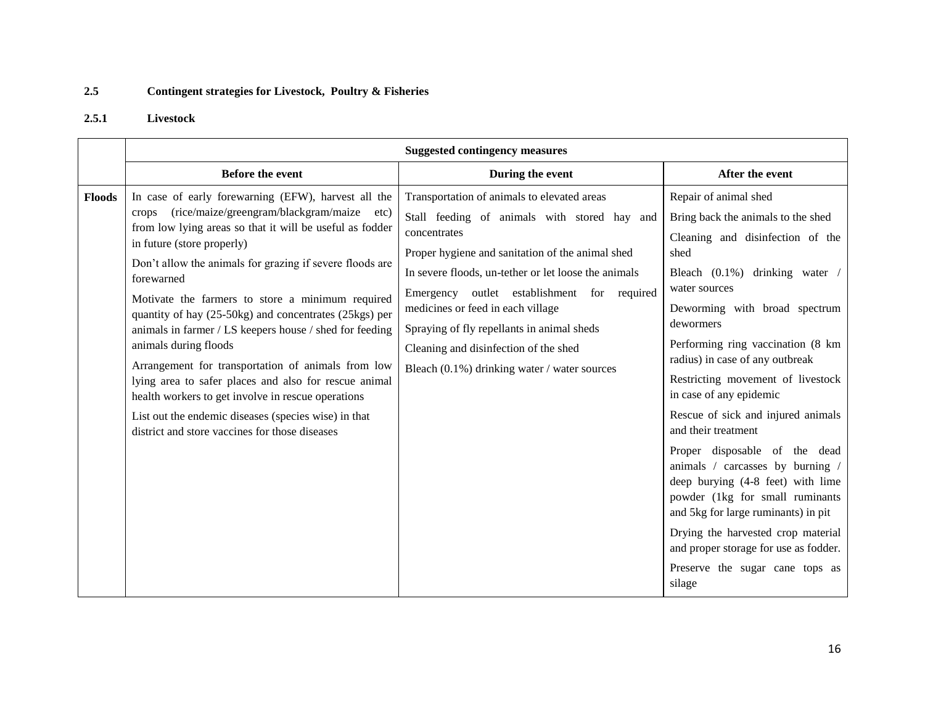#### **2.5 Contingent strategies for Livestock, Poultry & Fisheries**

#### **2.5.1 Livestock**

|               | <b>Suggested contingency measures</b>                                                                                                                                                                                                                                                                                                                                                                                                                                                                                                                                                                                                                                                                                                                              |                                                                                                                                                                                                                                                                                                                                                                                                                                                    |                                                                                                                                                                                                                                                                                                                                                                                                                                                                                                                                                                                                                                                                                                                               |  |  |
|---------------|--------------------------------------------------------------------------------------------------------------------------------------------------------------------------------------------------------------------------------------------------------------------------------------------------------------------------------------------------------------------------------------------------------------------------------------------------------------------------------------------------------------------------------------------------------------------------------------------------------------------------------------------------------------------------------------------------------------------------------------------------------------------|----------------------------------------------------------------------------------------------------------------------------------------------------------------------------------------------------------------------------------------------------------------------------------------------------------------------------------------------------------------------------------------------------------------------------------------------------|-------------------------------------------------------------------------------------------------------------------------------------------------------------------------------------------------------------------------------------------------------------------------------------------------------------------------------------------------------------------------------------------------------------------------------------------------------------------------------------------------------------------------------------------------------------------------------------------------------------------------------------------------------------------------------------------------------------------------------|--|--|
|               | <b>Before the event</b>                                                                                                                                                                                                                                                                                                                                                                                                                                                                                                                                                                                                                                                                                                                                            | During the event                                                                                                                                                                                                                                                                                                                                                                                                                                   | After the event                                                                                                                                                                                                                                                                                                                                                                                                                                                                                                                                                                                                                                                                                                               |  |  |
| <b>Floods</b> | In case of early forewarning (EFW), harvest all the<br>(rice/maize/greengram/blackgram/maize<br>crops<br>etc)<br>from low lying areas so that it will be useful as fodder<br>in future (store properly)<br>Don't allow the animals for grazing if severe floods are<br>forewarned<br>Motivate the farmers to store a minimum required<br>quantity of hay (25-50kg) and concentrates (25kgs) per<br>animals in farmer / LS keepers house / shed for feeding<br>animals during floods<br>Arrangement for transportation of animals from low<br>lying area to safer places and also for rescue animal<br>health workers to get involve in rescue operations<br>List out the endemic diseases (species wise) in that<br>district and store vaccines for those diseases | Transportation of animals to elevated areas<br>Stall feeding of animals with stored hay and<br>concentrates<br>Proper hygiene and sanitation of the animal shed<br>In severe floods, un-tether or let loose the animals<br>Emergency outlet establishment for required<br>medicines or feed in each village<br>Spraying of fly repellants in animal sheds<br>Cleaning and disinfection of the shed<br>Bleach (0.1%) drinking water / water sources | Repair of animal shed<br>Bring back the animals to the shed<br>Cleaning and disinfection of the<br>shed<br>Bleach (0.1%) drinking water /<br>water sources<br>Deworming with broad spectrum<br>dewormers<br>Performing ring vaccination (8 km<br>radius) in case of any outbreak<br>Restricting movement of livestock<br>in case of any epidemic<br>Rescue of sick and injured animals<br>and their treatment<br>Proper disposable of the dead<br>animals / carcasses by burning /<br>deep burying (4-8 feet) with lime<br>powder (1kg for small ruminants<br>and 5kg for large ruminants) in pit<br>Drying the harvested crop material<br>and proper storage for use as fodder.<br>Preserve the sugar cane tops as<br>silage |  |  |